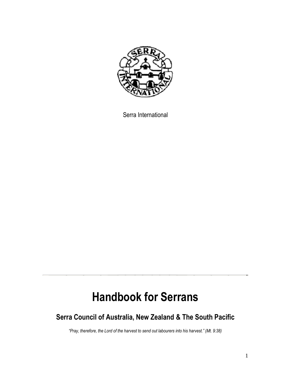

Serra International

# **Handbook for Serrans**

# **Serra Council of Australia, New Zealand & The South Pacific**

*"Pray, therefore, the Lord of the harvest to send out labourers into his harvest." (Mt. 9:38)*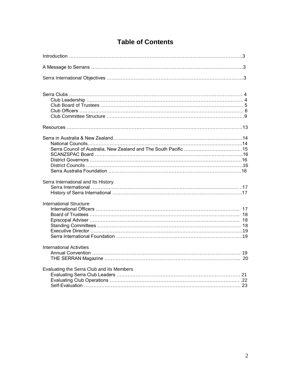# **Table of Contents**

| Serra International and Its History       |  |
|-------------------------------------------|--|
| <b>International Structure</b>            |  |
| <b>International Activities</b>           |  |
| Evaluating the Serra Club and its Members |  |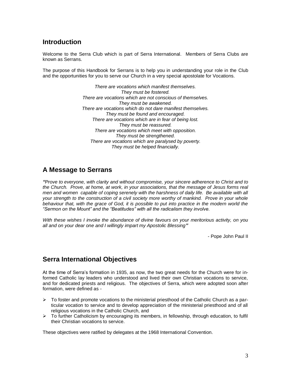# **Introduction**

Welcome to the Serra Club which is part of Serra International. Members of Serra Clubs are known as Serrans.

The purpose of this Handbook for Serrans is to help you in understanding your role in the Club and the opportunities for you to serve our Church in a very special apostolate for Vocations.

> *There are vocations which manifest themselves. They must be fostered. There are vocations which are not conscious of themselves. They must be awakened. There are vocations which do not dare manifest themselves. They must be found and encouraged. There are vocations which are in fear of being lost. They must be reassured. There are vocations which meet with opposition. They must be strengthened. There are vocations which are paralysed by poverty. They must be helped financially.*

# **A Message to Serrans**

*"Prove to everyone, with clarity and without compromise, your sincere adherence to Christ and to the Church. Prove, at home, at work, in your associations, that the message of Jesus forms real men and women capable of coping serenely with the harshness of daily life. Be available with all your strength to the construction of a civil society more worthy of mankind. Prove in your whole behaviour that, with the grace of God, it is possible to put into practice in the modern world the "Sermon on the Mount" and the "Beatitudes" with all the radicalism they involve.*

*With these wishes I invoke the abundance of divine favours on your meritorious activity, on you all and on your dear one and I willingly impart my Apostolic Blessing"*

- Pope John Paul II

# **Serra International Objectives**

At the time of Serra's formation in 1935, as now, the two great needs for the Church were for informed Catholic lay leaders who understood and lived their own Christian vocations to service, and for dedicated priests and religious. The objectives of Serra, which were adopted soon after formation, were defined as -

- $\triangleright$  To foster and promote vocations to the ministerial priesthood of the Catholic Church as a particular vocation to service and to develop appreciation of the ministerial priesthood and of all religious vocations in the Catholic Church, and
- $\triangleright$  To further Catholicism by encouraging its members, in fellowship, through education, to fulfil their Christian vocations to service.

These objectives were ratified by delegates at the 1968 International Convention.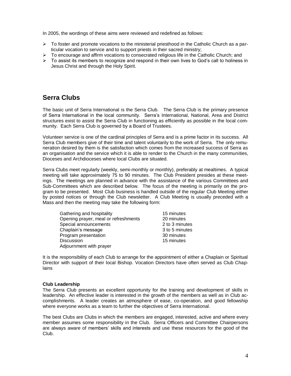In 2005, the wordings of these aims were reviewed and redefined as follows:

- $\triangleright$  To foster and promote vocations to the ministerial priesthood in the Catholic Church as a particular vocation to service and to support priests in their sacred ministry;
- $\triangleright$  To encourage and affirm vocations to consecrated religious life in the Catholic Church; and
- $\triangleright$  To assist its members to recognize and respond in their own lives to God's call to holiness in Jesus Christ and through the Holy Spirit.

# **Serra Clubs**

The basic unit of Serra International is the Serra Club. The Serra Club is the primary presence of Serra International in the local community. Serra's International, National, Area and District structures exist to assist the Serra Club in functioning as efficiently as possible in the local community. Each Serra Club is governed by a Board of Trustees.

Volunteer service is one of the cardinal principles of Serra and is a prime factor in its success. All Serra Club members give of their time and talent voluntarily to the work of Serra. The only remuneration desired by them is the satisfaction which comes from the increased success of Serra as an organisation and the service which it is able to render to the Church in the many communities, Dioceses and Archdioceses where local Clubs are situated.

Serra Clubs meet regularly (weekly, semi-monthly or monthly), preferably at mealtimes. A typical meeting will take approximately 75 to 90 minutes. The Club President presides at these meetings. The meetings are planned in advance with the assistance of the various Committees and Sub-Committees which are described below. The focus of the meeting is primarily on the program to be presented. Most Club business is handled outside of the regular Club Meeting either by posted notices or through the Club newsletter. A Club Meeting is usually preceded with a Mass and then the meeting may take the following form:

| Gathering and hospitality            | 15 minutes     |
|--------------------------------------|----------------|
| Opening prayer, meal or refreshments | 20 minutes     |
| Special announcements                | 2 to 3 minutes |
| Chaplain's message                   | 3 to 5 minutes |
| Program presentation                 | 30 minutes     |
| <b>Discussion</b>                    | 15 minutes     |
| Adjournment with prayer              |                |

It is the responsibility of each Club to arrange for the appointment of either a Chaplain or Spiritual Director with support of their local Bishop. Vocation Directors have often served as Club Chaplains

#### **Club Leadership**

The Serra Club presents an excellent opportunity for the training and development of skills in leadership. An effective leader is interested in the growth of the members as well as in Club accomplishments. A leader creates an atmosphere of ease, co-operation, and good fellowship where everyone works as a team to further the objectives of Serra International.

The best Clubs are Clubs in which the members are engaged, interested, active and where every member assumes some responsibility in the Club. Serra Officers and Committee Chairpersons are always aware of members' skills and interests and use these resources for the good of the Club.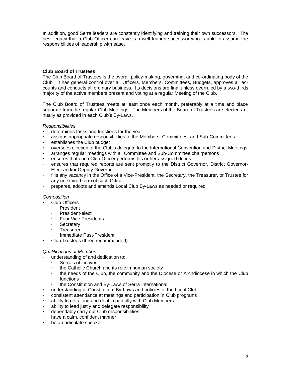In addition, good Serra leaders are constantly identifying and training their own successors. The best legacy that a Club Officer can leave is a well-trained successor who is able to assume the responsibilities of leadership with ease.

# **Club Board of Trustees**

The Club Board of Trustees is the overall policy-making, governing, and co-ordinating body of the Club. It has general control over all Officers, Members, Committees, Budgets, approves all accounts and conducts all ordinary business. Its decisions are final unless overruled by a two-thirds majority of the active members present and voting at a regular Meeting of the Club.

The Club Board of Trustees meets at least once each month, preferably at a time and place separate from the regular Club Meetings. The Members of the Board of Trustees are elected annually as provided in each Club's By-Laws.

#### *Responsibilities*

- **·** determines tasks and functions for the year
- **·** assigns appropriate responsibilities to the Members, Committees, and Sub-Committees
- **·** establishes the Club budget
- **·** oversees election of the Club's delegate to the International Convention and District Meetings
- **·** arranges regular meetings with all Committee and Sub-Committee chairpersons
- **·** ensures that each Club Officer performs his or her assigned duties
- **·** ensures that required reports are sent promptly to the District Governor, District Governor-Elect and/or Deputy Governor
- **·** fills any vacancy in the Office of a Vice-President, the Secretary, the Treasurer, or Trustee for any unexpired term of such Office
- **·** prepares, adopts and amends Local Club By-Laws as needed or required

#### *Composition*

- **·** Club Officers
- **·** President
- **·** President-elect
- **·** Four Vice Presidents
- **·** Secretary
- **·** Treasurer
- **·** Immediate Past-President
- **·** Club Trustees (three recommended)

#### *Qualifications of Members*

- **·** understanding of and dedication to:
	- **·** Serra's objectives
	- **·** the Catholic Church and its role in human society
	- **·** the needs of the Club, the community and the Diocese or Archdiocese in which the Club functions
	- **·** the Constitution and By-Laws of Serra International
- **·** understanding of Constitution, By-Laws and policies of the Local Club
- **·** consistent attendance at meetings and participation in Club programs
- **·** ability to get along and deal impartially with Club Members
- **·** ability to lead justly and delegate responsibility
- **·** dependably carry out Club responsibilities
- **·** have a calm, confident manner
- **·** be an articulate speaker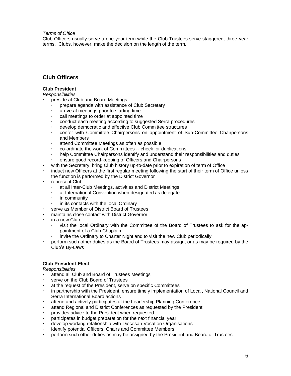*Terms of Office*

Club Officers usually serve a one-year term while the Club Trustees serve staggered, three-year terms. Clubs, however, make the decision on the length of the term.

# **Club Officers**

### **Club President**

*Responsibilities*

- **·** preside at Club and Board Meetings
	- **·** prepare agenda with assistance of Club Secretary
	- **·** arrive at meetings prior to starting time
	- **·** call meetings to order at appointed time
	- **·** conduct each meeting according to suggested Serra procedures
	- **·** develop democratic and effective Club Committee structures
	- **·** confer with Committee Chairpersons on appointment of Sub-Committee Chairpersons and Members
	- **·** attend Committee Meetings as often as possible
	- **·** co-ordinate the work of Committees -- check for duplications
	- **·** help Committee Chairpersons identify and understand their responsibilities and duties
	- **·** ensure good record-keeping of Officers and Chairpersons
- **·** with the Secretary, bring Club history up-to-date prior to expiration of term of Office
- **·** induct new Officers at the first regular meeting following the start of their term of Office unless the function is performed by the District Governor
- **·** represent Club:
	- **·** at all Inter-Club Meetings, activities and District Meetings
	- **·** at International Convention when designated as delegate
	- **·** in community
	- **·** in its contacts with the local Ordinary
- **·** serve as Member of District Board of Trustees
- **·** maintains close contact with District Governor
- **·** in a new Club:
	- **·** visit the local Ordinary with the Committee of the Board of Trustees to ask for the appointment of a Club Chaplain
		- **·** invite the Ordinary to Charter Night and to visit the new Club periodically
- **·** perform such other duties as the Board of Trustees may assign, or as may be required by the Club's By-Laws

#### **Club President-Elect**

- **·** attend all Club and Board of Trustees Meetings
- **·** serve on the Club Board of Trustees
- **·** at the request of the President, serve on specific Committees
- **·** in partnership with the President, ensure timely implementation of Local**,** National Council and Serra International Board actions
- **·** attend and actively participates at the Leadership Planning Conference
- **·** attend Regional and District Conferences as requested by the President
- **·** provides advice to the President when requested
- **·** participates in budget preparation for the next financial year
- **·** develop working relationship with Diocesan Vocation Organisations
- **·** identify potential Officers, Chairs and Committee Members
- **·** perform such other duties as may be assigned by the President and Board of Trustees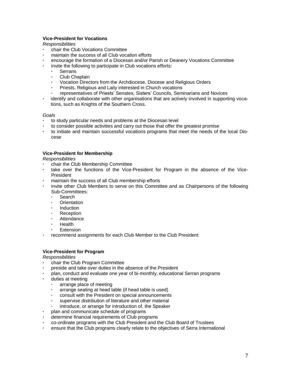# **Vice-President for Vocations**

### *Responsibilities*

- **·** chair the Club Vocations Committee
- **·** maintain the success of all Club vocation efforts
- **·** encourage the formation of a Diocesan and/or Parish or Deanery Vocations Committee
- **·** invite the following to participate in Club vocations efforts:
	- **·** Serrans
	- **·** Club Chaplain
	- **·** Vocation Directors from the Archdiocese, Diocese and Religious Orders
	- **·** Priests, Religious and Laity interested in Church vocations
	- **·** representatives of Priests' Senates, Sisters' Councils, Seminarians and Novices
- **·** identify and collaborate with other organisations that are actively involved in supporting vocations, such as Knights of the Southern Cross.

#### *Goals*

- **·** to study particular needs and problems at the Diocesan level
- **·** to consider possible activities and carry out those that offer the greatest promise
- **·** to initiate and maintain successful vocations programs that meet the needs of the local Diocese

### **Vice-President for Membership**

*Responsibilities*

- **·** chair the Club Membership Committee
- take over the functions of the Vice-President for Program in the absence of the Vice-President
- **·** maintain the success of all Club membership efforts
- **·** invite other Club Members to serve on this Committee and as Chairpersons of the following Sub-Committees:
	- **·** Search
	- **·** Orientation
	- **·** Induction
	- **·** Reception
	- **·** Attendance
	- **·** Health
	- **·** Extension
- **·** recommend assignments for each Club Member to the Club President

# **Vice-President for Program**

- **·** chair the Club Program Committee
- **·** preside and take over duties in the absence of the President
- **·** plan, conduct and evaluate one year of bi-monthly, educational Serran programs
- **·** duties at meeting
	- **·** arrange place of meeting
	- **·** arrange seating at head table (if head table is used)
	- **·** consult with the President on special announcements
	- **·** supervise distribution of literature and other material
	- **·** introduce, or arrange for introduction of, the Speaker
- **·** plan and communicate schedule of programs
- **·** determine financial requirements of Club programs
- **·** co-ordinate programs with the Club President and the Club Board of Trustees
- **·** ensure that the Club programs clearly relate to the objectives of Serra International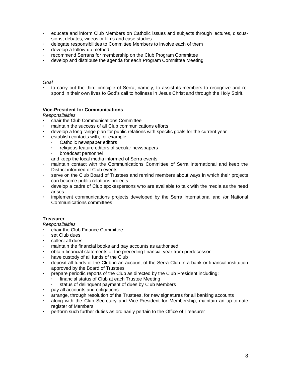- **·** educate and inform Club Members on Catholic issues and subjects through lectures, discussions, debates, videos or films and case studies
- **·** delegate responsibilities to Committee Members to involve each of them
- **·** develop a follow-up method
- **·** recommend Serrans for membership on the Club Program Committee
- **·** develop and distribute the agenda for each Program Committee Meeting

#### *Goal*

**·** to carry out the third principle of Serra, namely, to assist its members to recognize and respond in their own lives to God's call to holiness in Jesus Christ and through the Holy Spirit.

### **Vice-President for Communications**

*Responsibilities*

- **·** chair the Club Communications Committee
- **·** maintain the success of all Club communications efforts
- **·** develop a long range plan for public relations with specific goals for the current year
- **·** establish contacts with, for example
	- **·** Catholic newspaper editors
	- **·** religious feature editors of secular newspapers
	- **·** broadcast personnel

and keep the local media informed of Serra events

- **·** maintain contact with the Communications Committee of Serra International and keep the District informed of Club events
- **·** serve on the Club Board of Trustees and remind members about ways in which their projects can become public relations projects
- **·** develop a cadre of Club spokespersons who are available to talk with the media as the need arises
- **·** implement communications projects developed by the Serra International and /or National Communications committees

#### **Treasurer**

- **·** chair the Club Finance Committee
- **·** set Club dues
- **·** collect all dues
- **·** maintain the financial books and pay accounts as authorised
- **·** obtain financial statements of the preceding financial year from predecessor
- **·** have custody of all funds of the Club
- **·** deposit all funds of the Club in an account of the Serra Club in a bank or financial institution approved by the Board of Trustees
	- **·** prepare periodic reports of the Club as directed by the Club President including:
	- **·** financial status of Club at each Trustee Meeting
		- **·** status of delinquent payment of dues by Club Members
- **·** pay all accounts and obligations
- **·** arrange, through resolution of the Trustees, for new signatures for all banking accounts
- **·** along with the Club Secretary and Vice-President for Membership, maintain an up-to-date register of Members
- **·** perform such further duties as ordinarily pertain to the Office of Treasurer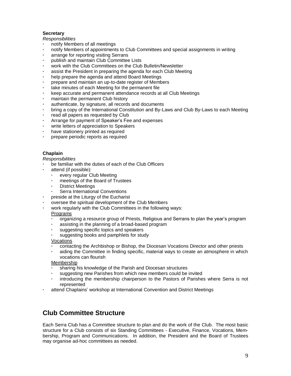# **Secretary**

### *Responsibilities*

- **·** notify Members of all meetings
- **·** notify Members of appointments to Club Committees and special assignments in writing
- **·** arrange for reporting visiting Serrans
- **·** publish and maintain Club Committee Lists
- **·** work with the Club Committees on the Club Bulletin/Newsletter
- **·** assist the President in preparing the agenda for each Club Meeting
- **·** help prepare the agenda and attend Board Meetings
- **·** prepare and maintain an up-to-date register of Members
- **·** take minutes of each Meeting for the permanent file
- **·** keep accurate and permanent attendance records at all Club Meetings
- **·** maintain the permanent Club history
- **·** authenticate, by signature, all records and documents
- **·** bring a copy of the International Constitution and By-Laws and Club By-Laws to each Meeting
- **·** read all papers as requested by Club
- **·** Arrange for payment of Speaker's Fee and expenses
- **·** write letters of appreciation to Speakers
- **·** have stationery printed as required
- **·** prepare periodic reports as required

# **Chaplain**

### *Responsibilities*

- **·** be familiar with the duties of each of the Club Officers
- **·** attend (if possible):
	- **·** every regular Club Meeting
	- **·** meetings of the Board of Trustees
	- **·** District Meetings
	- **·** Serra International Conventions
- **·** preside at the Liturgy of the Eucharist
- **·** oversee the spiritual development of the Club Members
- **·** work regularly with the Club Committees in the following ways:

#### Programs

- **·** organizing a resource group of Priests, Religious and Serrans to plan the year's program
- **·** assisting in the planning of a broad-based program
- **·** suggesting specific topics and speakers
- **·** suggesting books and pamphlets for study

#### Vocations

- **·** contacting the Archbishop or Bishop, the Diocesan Vocations Director and other priests
- **·** aiding the Committee in finding specific, material ways to create an atmosphere in which vocations can flourish

#### Membership

- **·** sharing his knowledge of the Parish and Diocesan structures
- **·** suggesting new Parishes from which new members could be invited
- **·** introducing the membership chairperson to the Pastors of Parishes where Serra is not represented
- **·** attend Chaplains' workshop at International Convention and District Meetings

# **Club Committee Structure**

Each Serra Club has a Committee structure to plan and do the work of the Club. The most basic structure for a Club consists of six Standing Committees - Executive, Finance, Vocations, Membership, Program and Communications. In addition, the President and the Board of Trustees may organise ad-hoc committees as needed.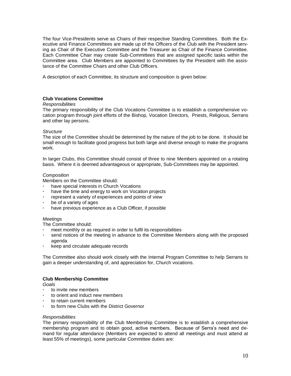The four Vice-Presidents serve as Chairs of their respective Standing Committees. Both the Executive and Finance Committees are made up of the Officers of the Club with the President serving as Chair of the Executive Committee and the Treasurer as Chair of the Finance Committee. Each Committee Chair may create Sub-Committees that are assigned specific tasks within the Committee area. Club Members are appointed to Committees by the President with the assistance of the Committee Chairs and other Club Officers.

A description of each Committee, its structure and composition is given below:

#### **Club Vocations Committee**

#### *Responsibilities*

The primary responsibility of the Club Vocations Committee is to establish a comprehensive vocation program through joint efforts of the Bishop, Vocation Directors, Priests, Religious, Serrans and other lay persons.

#### *Structure*

The size of the Committee should be determined by the nature of the job to be done. It should be small enough to facilitate good progress but both large and diverse enough to make the programs work.

In larger Clubs, this Committee should consist of three to nine Members appointed on a rotating basis. Where it is deemed advantageous or appropriate, Sub-Committees may be appointed.

#### *Composition*

Members on the Committee should:

- **·** have special interests in Church Vocations
- **·** have the time and energy to work on Vocation projects
- **·** represent a variety of experiences and points of view
- **·** be of a variety of ages
- **·** have previous experience as a Club Officer, if possible

### *Meetings*

The Committee should:

- **·** meet monthly or as required in order to fulfil its responsibilities
- **·** send notices of the meeting in advance to the Committee Members along with the proposed agenda
- **·** keep and circulate adequate records

The Committee also should work closely with the Internal Program Committee to help Serrans to gain a deeper understanding of, and appreciation for, Church vocations.

#### **Club Membership Committee**

*Goals*

- **·** to invite new members
- **·** to orient and induct new members
- **·** to retain current members
- **·** to form new Clubs with the District Governor

#### *Responsibilities*

The primary responsibility of the Club Membership Committee is to establish a comprehensive membership program and to obtain good, active members. Because of Serra's need and demand for regular attendance (Members are expected to attend all meetings and must attend at least 55% of meetings), some particular Committee duties are: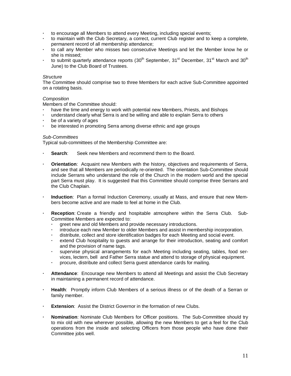- **·** to encourage all Members to attend every Meeting, including special events;
- **·** to maintain with the Club Secretary, a correct, current Club register and to keep a complete, permanent record of all membership attendance;
- **·** to call any Member who misses two consecutive Meetings and let the Member know he or she is missed;
- to submit quarterly attendance reports (30<sup>th</sup> September, 31<sup>st</sup> December, 31<sup>st</sup> March and 30<sup>th</sup> June) to the Club Board of Trustees.

#### *Structure*

The Committee should comprise two to three Members for each active Sub-Committee appointed on a rotating basis.

#### *Composition*

Members of the Committee should:

- **·** have the time and energy to work with potential new Members, Priests, and Bishops
- **·** understand clearly what Serra is and be willing and able to explain Serra to others
- **·** be of a variety of ages
- **·** be interested in promoting Serra among diverse ethnic and age groups

#### *Sub-Committees*

Typical sub-committees of the Membership Committee are:

- **· Search**: Seek new Members and recommend them to the Board.
- **· Orientation**: Acquaint new Members with the history, objectives and requirements of Serra, and see that all Members are periodically re-oriented. The orientation Sub-Committee should include Serrans who understand the role of the Church in the modern world and the special part Serra must play. It is suggested that this Committee should comprise three Serrans and the Club Chaplain.
- **· Induction**: Plan a formal Induction Ceremony, usually at Mass, and ensure that new Members become active and are made to feel at home in the Club.
- **· Reception**: Create a friendly and hospitable atmosphere within the Serra Club. Sub-Committee Members are expected to:
	- **·** greet new and old Members and provide necessary introductions.
	- **·** introduce each new Member to older Members and assist in membership incorporation.
	- **·** distribute, collect and store identification badges for each Meeting and social event.
	- **·** extend Club hospitality to guests and arrange for their introduction, seating and comfort and the provision of name tags.
	- **·** supervise physical arrangements for each Meeting including seating, tables, food services, lectern, bell and Father Serra statue and attend to storage of physical equipment.
	- **·** procure, distribute and collect Serra guest attendance cards for mailing.
- **· Attendance**: Encourage new Members to attend all Meetings and assist the Club Secretary in maintaining a permanent record of attendance.
- **· Health**: Promptly inform Club Members of a serious illness or of the death of a Serran or family member.
- **Extension:** Assist the District Governor in the formation of new Clubs.
- **· Nomination**: Nominate Club Members for Officer positions. The Sub-Committee should try to mix old with new wherever possible, allowing the new Members to get a feel for the Club operations from the inside and selecting Officers from those people who have done their Committee jobs well.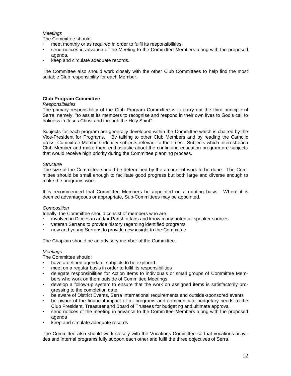# *Meetings*

The Committee should:

- **·** meet monthly or as required in order to fulfil its responsibilities;
- **·** send notices in advance of the Meeting to the Committee Members along with the proposed agenda*.*
- **·** keep and circulate adequate records.

The Committee also should work closely with the other Club Committees to help find the most suitable Club responsibility for each Member.

### **Club Program Committee**

#### *Responsibilities*

The primary responsibility of the Club Program Committee is to carry out the third principle of Serra, namely, "to assist its members to recognise and respond in their own lives to God's call to holiness in Jesus Christ and through the Holy Spirit".

Subjects for each program are generally developed within the Committee which is chaired by the Vice-President for Programs. By talking to other Club Members and by reading the Catholic press, Committee Members identify subjects relevant to the times. Subjects which interest each Club Member and make them enthusiastic about the continuing education program are subjects that would receive high priority during the Committee planning process.

#### *Structure*

The size of the Committee should be determined by the amount of work to be done. The Committee should be small enough to facilitate good progress but both large and diverse enough to make the programs work.

It is recommended that Committee Members be appointed on a rotating basis. Where it is deemed advantageous or appropriate, Sub-Committees may be appointed.

#### *Composition*

Ideally, the Committee should consist of members who are:

- **·** involved in Diocesan and/or Parish affairs and know many potential speaker sources
- **·** veteran Serrans to provide history regarding identified programs
- **·** new and young Serrans to provide new insight to the Committee

The Chaplain should be an advisory member of the Committee.

#### *Meetings*

The Committee should:

- **·** have a defined agenda of subjects to be explored.
- **·** meet on a regular basis in order to fulfil its responsibilities
- **·** delegate responsibilities for Action Items to individuals or small groups of Committee Members who work on them outside of Committee Meetings
- **·** develop a follow-up system to ensure that the work on assigned items is satisfactorily progressing to the completion date
- **·** be aware of District Events, Serra International requirements and outside-sponsored events
- **·** be aware of the financial impact of all programs and communicate budgetary needs to the Club President, Treasurer and Board of Trustees for budgeting and ultimate approval
- **·** send notices of the meeting in advance to the Committee Members along with the proposed agenda
- **·** keep and circulate adequate records

The Committee also should work closely with the Vocations Committee so that vocations activities and internal programs fully support each other and fulfil the three objectives of Serra.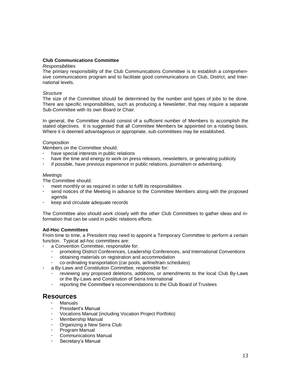### **Club Communications Committee**

#### *Responsibilities*

The primary responsibility of the Club Communications Committee is to establish a comprehensive communications program and to facilitate good communications on Club, District, and International levels.

#### *Structure*

The size of the Committee should be determined by the number and types of jobs to be done. There are specific responsibilities, such as producing a Newsletter, that may require a separate Sub-Committee with its own Board or Chair.

In general, the Committee should consist of a sufficient number of Members to accomplish the stated objectives. It is suggested that all Committee Members be appointed on a rotating basis. Where it is deemed advantageous or appropriate, sub-committees may be established.

#### *Composition*

Members on the Committee should:

- **·** have special interests in public relations
- have the time and energy to work on press releases, newsletters, or generating publicity
- **·** if possible, have previous experience in public relations, journalism or advertising.

#### *Meetings*

The Committee should:

- **·** meet monthly or as required in order to fulfil its responsibilities
- **·** send notices of the Meeting in advance to the Committee Members along with the proposed agenda
- **·** keep and circulate adequate records

The Committee also should work closely with the other Club Committees to gather ideas and information that can be used in public relations efforts.

#### **Ad-Hoc Committees**

From time to time, a President may need to appoint a Temporary Committee to perform a certain function. Typical ad-hoc committees are:

- **·** a Convention Committee, responsible for:
	- **·** promoting District Conferences, Leadership Conferences, and International Conventions
	- **·** obtaining materials on registration and accommodation
	- **·** co-ordinating transportation (car pools, airline/train schedules)
- **·** a By-Laws and Constitution Committee, responsible for:
	- **·** reviewing any proposed deletions, additions, or amendments to the local Club By-Laws or the By-Laws and Constitution of Serra International
	- **·** reporting the Committee's recommendations to the Club Board of Trustees

# **Resources**

- **·** Manuals
- **·** President's Manual
- **·** Vocations Manual (including Vocation Project Portfolio)
- **·** Membership Manual
- **·** Organizing a New Serra Club
- **·** Program Manual
- **·** Communications Manual
- **·** Secretary's Manual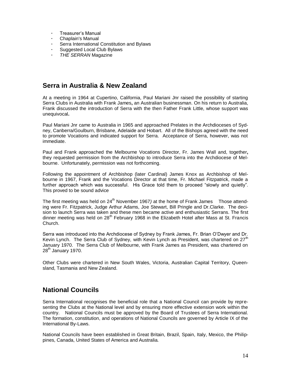- **·** Treasurer's Manual
- **·** Chaplain's Manual
- **·** Serra International Constitution and Bylaws
- **·** Suggested Local Club Bylaws
- **·** *THE SERRAN* Magazine

# **Serra in Australia & New Zealand**

At a meeting in 1964 at Cupertino, California, Paul Mariani Jnr raised the possibility of starting Serra Clubs in Australia with Frank James**,** an Australian businessman. On his return to Australia, Frank discussed the introduction of Serra with the then Father Frank Little, whose support was unequivocal**.** 

Paul Mariani Jnr came to Australia in 1965 and approached Prelates in the Archdioceses of Sydney, Canberra/Goulburn, Brisbane, Adelaide and Hobart. All of the Bishops agreed with the need to promote Vocations and indicated support for Serra. Acceptance of Serra, however, was not immediate.

Paul and Frank approached the Melbourne Vocations Director, Fr. James Wall and, together**,** they requested permission from the Archbishop to introduce Serra into the Archdiocese of Melbourne. Unfortunately, permission was not forthcoming.

Following the appointment of Archbishop (later Cardinal) James Knox as Archbishop of Melbourne in 1967, Frank and the Vocations Director at that time, Fr. Michael Fitzpatrick, made a further approach which was successful. His Grace told them to proceed "slowly and quietly". This proved to be sound advice

The first meeting was held on 24<sup>th</sup> November 1967) at the home of Frank James Those attending were Fr. Fitzpatrick, Judge Arthur Adams, Joe Stewart, Bill Pringle and Dr.Clarke. The decision to launch Serra was taken and these men became active and enthusiastic Serrans. The first dinner meeting was held on 28<sup>th</sup> February 1968 in the Elizabeth Hotel after Mass at St. Francis Church.

Serra was introduced into the Archdiocese of Sydney by Frank James, Fr. Brian O'Dwyer and Dr. Kevin Lynch. The Serra Club of Sydney, with Kevin Lynch as President, was chartered on 27<sup>th</sup> January 1970. The Serra Club of Melbourne, with Frank James as President, was chartered on  $28<sup>th</sup>$  January 1970.

Other Clubs were chartered in New South Wales, Victoria, Australian Capital Territory, Queensland, Tasmania and New Zealand.

# **National Councils**

Serra International recognises the beneficial role that a National Council can provide by representing the Clubs at the National level and by ensuring more effective extension work within the country. National Councils must be approved by the Board of Trustees of Serra International. The formation, constitution, and operations of National Councils are governed by Article IX of the International By-Laws.

National Councils have been established in Great Britain, Brazil, Spain, Italy, Mexico, the Philippines, Canada, United States of America and Australia.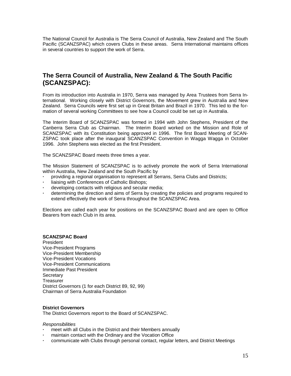The National Council for Australia is The Serra Council of Australia, New Zealand and The South Pacific (SCANZSPAC) which covers Clubs in these areas. Serra International maintains offices in several countries to support the work of Serra.

# **The Serra Council of Australia, New Zealand & The South Pacific (SCANZSPAC):**

From its introduction into Australia in 1970, Serra was managed by Area Trustees from Serra International. Working closely with District Governors, the Movement grew in Australia and New Zealand. Serra Councils were first set up in Great Britain and Brazil in 1970. This led to the formation of several working Committees to see how a Council could be set up in Australia.

The Interim Board of SCANZSPAC was formed in 1994 with John Stephens, President of the Canberra Serra Club as Chairman. The Interim Board worked on the Mission and Role of SCANZSPAC with its Constitution being approved in 1996. The first Board Meeting of SCAN-ZSPAC took place after the inaugural SCANZSPAC Convention in Wagga Wagga in October 1996. John Stephens was elected as the first President.

The SCANZSPAC Board meets three times a year.

The Mission Statement of SCANZSPAC is to actively promote the work of Serra International within Australia, New Zealand and the South Pacific by

- **·** providing a regional organisation to represent all Serrans, Serra Clubs and Districts;
- **·** liaising with Conferences of Catholic Bishops;
- **·** developing contacts with religious and secular media;
- **·** determining the direction and aims of Serra by creating the policies and programs required to extend effectively the work of Serra throughout the SCANZSPAC Area.

Elections are called each year for positions on the SCANZSPAC Board and are open to Office Bearers from each Club in its area.

#### **SCANZSPAC Board**

President Vice-President Programs Vice-President Membership Vice-President Vocations Vice-President Communications Immediate Past President **Secretary** Treasurer District Governors (1 for each District 89, 92, 99) Chairman of Serra Australia Foundation

#### **District Governors**

The District Governors report to the Board of SCANZSPAC.

- **·** meet with all Clubs in the District and their Members annually
- **·** maintain contact with the Ordinary and the Vocation Office
- **·** communicate with Clubs through personal contact, regular letters, and District Meetings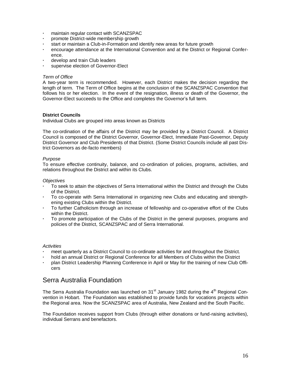- **·** maintain regular contact with SCANZSPAC
- **·** promote District-wide membership growth
- **·** start or maintain a Club-in-Formation and identify new areas for future growth
- **·** encourage attendance at the International Convention and at the District or Regional Conference.
- **·** develop and train Club leaders
- **·** supervise election of Governor-Elect

### *Term of Office*

A two-year term is recommended. However, each District makes the decision regarding the length of term. The Term of Office begins at the conclusion of the SCANZSPAC Convention that follows his or her election. In the event of the resignation, illness or death of the Governor, the Governor-Elect succeeds to the Office and completes the Governor's full term.

### **District Councils**

Individual Clubs are grouped into areas known as Districts

The co-ordination of the affairs of the District may be provided by a District Council. A District Council is composed of the District Governor, Governor-Elect, Immediate Past-Governor, Deputy District Governor and Club Presidents of that District. (Some District Councils include all past District Governors as de-facto members)

#### *Purpose*

To ensure effective continuity, balance, and co-ordination of policies, programs, activities, and relations throughout the District and within its Clubs.

#### *Objectives*

- **·** To seek to attain the objectives of Serra International within the District and through the Clubs of the District.
- **·** To co-operate with Serra International in organizing new Clubs and educating and strengthening existing Clubs within the District.
- **·** To further Catholicism through an increase of fellowship and co-operative effort of the Clubs within the District.
- **·** To promote participation of the Clubs of the District in the general purposes, programs and policies of the District, SCANZSPAC and of Serra International.

#### *Activities*

- **·** meet quarterly as a District Council to co-ordinate activities for and throughout the District.
- **·** hold an annual District or Regional Conference for all Members of Clubs within the District
- **·** plan District Leadership Planning Conference in April or May for the training of new Club Officers

# Serra Australia Foundation

The Serra Australia Foundation was launched on  $31<sup>st</sup>$  January 1982 during the  $4<sup>th</sup>$  Regional Convention in Hobart. The Foundation was established to provide funds for vocations projects within the Regional area. Now the SCANZSPAC area of Australia, New Zealand and the South Pacific.

The Foundation receives support from Clubs (through either donations or fund-raising activities), individual Serrans and benefactors.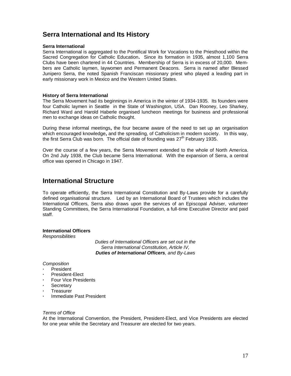# **Serra International and Its History**

#### **Serra International**

Serra International is aggregated to the Pontifical Work for Vocations to the Priesthood within the Sacred Congregation for Catholic Education**.** Since its formation in 1935, almost 1,100 Serra Clubs have been chartered in 44 Countries. Membership of Serra is in excess of 20,000. Members are Catholic laymen, laywomen and Permanent Deacons. Serra is named after Blessed Junipero Serra, the noted Spanish Franciscan missionary priest who played a leading part in early missionary work in Mexico and the Western United States.

#### **History of Serra International**

The Serra Movement had its beginnings in America in the winter of 1934-1935. Its founders were four Catholic laymen in Seattle in the State of Washington, USA. Dan Rooney, Leo Sharkey, Richard Ward and Harold Haberle organised luncheon meetings for business and professional men to exchange ideas on Catholic thought.

During these informal meetings**,** the four became aware of the need to set up an organisation which encouraged knowledge**,** and the spreading, of Catholicism in modern society. In this way, the first Serra Club was born. The official date of founding was  $27<sup>th</sup>$  February 1935.

Over the course of a few years, the Serra Movement extended to the whole of North America. On 2nd July 1938, the Club became Serra International. With the expansion of Serra, a central office was opened in Chicago in 1947.

# **International Structure**

To operate efficiently, the Serra International Constitution and By-Laws provide for a carefully defined organisational structure. Led by an International Board of Trustees which includes the International Officers, Serra also draws upon the services of an Episcopal Adviser, volunteer Standing Committees, the Serra International Foundation, a full-time Executive Director and paid staff.

#### **International Officers**

*Responsibilities*

*Duties of International Officers are set out in the Serra International Constitution, Article IV, Duties of International Officers, and By-Laws*

### *Composition*

- **·** President
- **·** President-Elect
- **·** Four Vice Presidents
- **·** Secretary
- **·** Treasurer
- **·** Immediate Past President

#### *Terms of Office*

At the International Convention, the President, President-Elect, and Vice Presidents are elected for one year while the Secretary and Treasurer are elected for two years.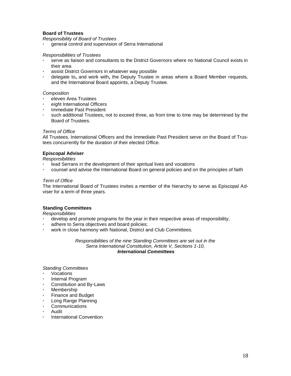# **Board of Trustees**

*Responsibility of Board of Trustees*

**·** general control and supervision of Serra International

#### *Responsibilities of Trustees*

- **·** serve as liaison and consultants to the District Governors where no National Council exists in their area
- **·** assist District Governors in whatever way possible
- **·** delegate to**,** and work with**,** the Deputy Trustee in areas where a Board Member requests*,*  and the International Board appoints, a Deputy Trustee.

#### *Composition*

- **·** eleven Area Trustees
- **·** eight International Officers
- **·** Immediate Past President
- **·** such additional Trustees, not to exceed three, as from time to time may be determined by the Board of Trustees.

#### *Terms of Office*

All Trustees, International Officers and the Immediate Past President serve on the Board of Trustees concurrently for the duration of their elected Office.

#### **Episcopal Adviser**

*Responsibilities*

- **·** lead Serrans in the development of their spiritual lives and vocations
- **·** counsel and advise the International Board on general policies and on the principles of faith

#### *Term of Office*

The International Board of Trustees invites a member of the hierarchy to serve as Episcopal Adviser for a term of three years.

#### **Standing Committees**

*Responsibilities*

- **·** develop and promote programs for the year in their respective areas of responsibility;
- **·** adhere to Serra objectives and board policies;
- **·** work in close harmony with National, District and Club Committees.

*Responsibilities of the nine Standing Committees are set out in the Serra International Constitution, Article V, Sections 1-10, International Committees*

*Standing Committees*

- **·** Vocations
- **·** Internal Program
- **·** Constitution and By-Laws
- **·** Membership
- **·** Finance and Budget
- **·** Long Range Planning
- **·** Communications
- **·** Audit
- **·** International Convention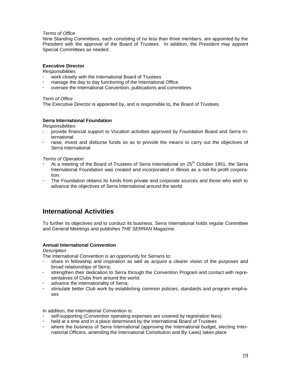### *Terms of Office*

Nine Standing Committees, each consisting of no less than three members, are appointed by the President with the approval of the Board of Trustees. In addition, the President may appoint Special Committees as needed.

# **Executive Director**

*Responsibilities*

- **·** work closely with the International Board of Trustees
- **·** manage the day to day functioning of the International Office
- **·** oversee the International Convention, publications and committees

### *Term of Office*

The Executive Director is appointed by**,** and is responsible to**,** the Board of Trustees.

### **Serra International Foundation**

*Responsibilities*

- **·** provide financial support to Vocation activities approved by Foundation Board and Serra International
- **·** raise, invest and disburse funds so as to provide the means to carry out the objectives of Serra International

#### *Terms of Operation*

- At a meeting of the Board of Trustees of Serra International on 25<sup>th</sup> October 1951, the Serra International Foundation was created and incorporated in Illinois as a not-for-profit corporation.
- **·** The Foundation obtains its funds from private and corporate sources and those who wish to advance the objectives of Serra International around the world.

# **International Activities**

To further its objectives and to conduct its business, Serra International holds regular Committee and General Meetings and publishes *THE SERRAN* Magazine.

#### **Annual International Convention**

#### *Description*

The International Convention is an opportunity for Serrans to:

- **·** share in fellowship and inspiration as well as acquire a clearer vision of the purposes and broad relationships of Serra;
- **·** strengthen their dedication to Serra through the Convention Program and contact with representatives of Clubs from around the world;
- **·** advance the internationality of Serra;
- **·** stimulate better Club work by establishing common policies, standards and program emphases

In addition, the International Convention is:

- **·** self-supporting (Convention operating expenses are covered by registration fees)
- **·** held at a time and in a place determined by the International Board of Trustees
- **·** where the business of Serra International (approving the International budget, electing International Officers, amending the International Constitution and By-Laws) takes place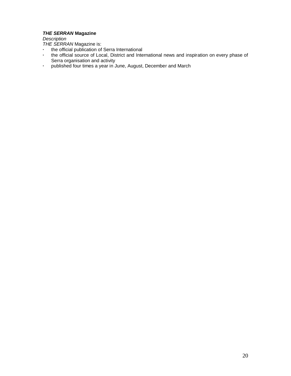# *THE SERRAN* **Magazine**

*Description*

*THE SERRAN* Magazine is:

- **·** the official publication of Serra International
- **·** the official source of Local, District and International news and inspiration on every phase of Serra organisation and activity
- **·** published four times a year in June, August, December and March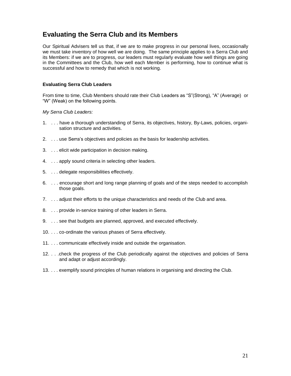# **Evaluating the Serra Club and its Members**

Our Spiritual Advisers tell us that, if we are to make progress in our personal lives, occasionally we must take inventory of how well we are doing. The same principle applies to a Serra Club and its Members: if we are to progress, our leaders must regularly evaluate how well things are going in the Committees and the Club, how well each Member is performing, how to continue what is successful and how to remedy that which is not working.

### **Evaluating Serra Club Leaders**

From time to time, Club Members should rate their Club Leaders as "S"(Strong), "A" (Average) or "W" (Weak) on the following points.

#### *My Serra Club Leaders:*

- 1. . . . have a thorough understanding of Serra, its objectives, history, By-Laws, policies, organisation structure and activities.
- 2. . . . use Serra's objectives and policies as the basis for leadership activities.
- 3. . . . elicit wide participation in decision making.
- 4. . . . apply sound criteria in selecting other leaders.
- 5. . . . delegate responsibilities effectively.
- 6. . . . encourage short and long range planning of goals and of the steps needed to accomplish those goals.
- 7. . . . adjust their efforts to the unique characteristics and needs of the Club and area.
- 8. . . . provide in-service training of other leaders in Serra.
- 9. . . . see that budgets are planned, approved, and executed effectively.
- 10. . . . co-ordinate the various phases of Serra effectively.
- 11. . . . communicate effectively inside and outside the organisation.
- 12. . . .check the progress of the Club periodically against the objectives and policies of Serra and adapt or adjust accordingly.
- 13. . . . exemplify sound principles of human relations in organising and directing the Club.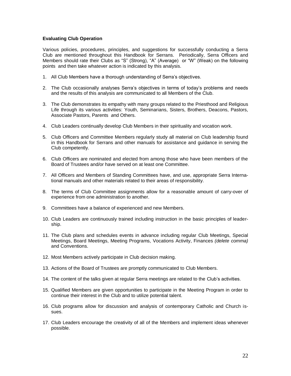### **Evaluating Club Operation**

Various policies, procedures, principles, and suggestions for successfully conducting a Serra Club are mentioned throughout this Handbook for Serrans. Periodically, Serra Officers and Members should rate their Clubs as "S" (Strong), "A" (Average) or "W" (Weak) on the following points and then take whatever action is indicated by this analysis.

- 1. All Club Members have a thorough understanding of Serra's objectives.
- 2. The Club occasionally analyses Serra's objectives in terms of today's problems and needs and the results of this analysis are communicated to all Members of the Club.
- 3. The Club demonstrates its empathy with many groups related to the Priesthood and Religious Life through its various activities: Youth, Seminarians, Sisters, Brothers, Deacons, Pastors, Associate Pastors, Parents *a*nd Others.
- 4. Club Leaders continually develop Club Members in their spirituality and vocation work.
- 5. Club Officers and Committee Members regularly study all material on Club leadership found in this Handbook for Serrans and other manuals for assistance and guidance in serving the Club competently.
- 6. Club Officers are nominated and elected from among those who have been members of the Board of Trustees and/or have served on at least one Committee.
- 7. All Officers and Members of Standing Committees have, and use, appropriate Serra International manuals and other materials related to their areas of responsibility.
- 8. The terms of Club Committee assignments allow for a reasonable amount of carry-over of experience from one administration to another.
- 9. Committees have a balance of experienced and new Members.
- 10. Club Leaders are continuously trained including instruction in the basic principles of leadership.
- 11. The Club plans and schedules events in advance including regular Club Meetings, Special Meetings, Board Meetings, Meeting Programs, Vocations Activity, Finances *(delete comma)* and Conventions.
- 12. Most Members actively participate in Club decision making.
- 13. Actions of the Board of Trustees are promptly communicated to Club Members.
- 14. The content of the talks given at regular Serra meetings are related to the Club's activities.
- 15. Qualified Members are given opportunities to participate in the Meeting Program in order to continue their interest in the Club and to utilize potential talent.
- 16. Club programs allow for discussion and analysis of contemporary Catholic and Church issues.
- 17. Club Leaders encourage the creativity of all of the Members and implement ideas whenever possible.